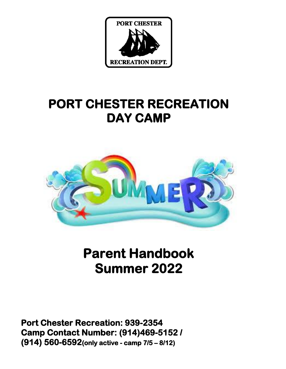

# **PORT CHESTER RECREATION DAY CAMP**



# **Parent Handbook Summer 2022**

**Port Chester Recreation: 939-2354 Camp Contact Number: (914)469-5152 / (914) 560-6592(only active - camp 7/5 – 8/12)**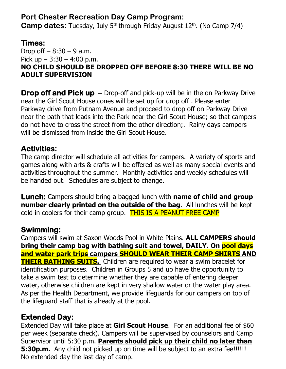## **Port Chester Recreation Day Camp Program:**

**Camp dates:** Tuesday, July 5<sup>th</sup> through Friday August 12<sup>th</sup>. (No Camp 7/4)

## **Times:**

Drop off  $-8:30 - 9$  a.m. Pick up  $-3:30 - 4:00$  p.m. **NO CHILD SHOULD BE DROPPED OFF BEFORE 8:30 THERE WILL BE NO ADULT SUPERVISION** 

**Drop off and Pick up** – Drop-off and pick-up will be in the on Parkway Drive near the Girl Scout House cones will be set up for drop off . Please enter Parkway drive from Putnam Avenue and proceed to drop off on Parkway Drive near the path that leads into the Park near the Girl Scout House; so that campers do not have to cross the street from the other direction;. Rainy days campers will be dismissed from inside the Girl Scout House.

## **Activities:**

The camp director will schedule all activities for campers. A variety of sports and games along with arts & crafts will be offered as well as many special events and activities throughout the summer.Monthly activities and weekly schedules will be handed out. Schedules are subject to change.

**Lunch:** Campers should bring a bagged lunch with **name of child and group number clearly printed on the outside of the bag**. All lunches will be kept cold in coolers for their camp group. THIS IS A PEANUT FREE CAMP

## **Swimming:**

Campers will swim at Saxon Woods Pool in White Plains. **ALL CAMPERS should bring their camp bag with bathing suit and towel, DAILY. On pool days and water park trips campers SHOULD WEAR THEIR CAMP SHIRTS AND THEIR BATHING SUITS.** Children are required to wear a swim bracelet for identification purposes. Children in Groups 5 and up have the opportunity to take a swim test to determine whether they are capable of entering deeper water, otherwise children are kept in very shallow water or the water play area. As per the Health Department, we provide lifeguards for our campers on top of the lifeguard staff that is already at the pool.

## **Extended Day:**

Extended Day will take place at **Girl Scout House**. For an additional fee of \$60 per week (separate check). Campers will be supervised by counselors and Camp Supervisor until 5:30 p.m. **Parents should pick up their child no later than 5:30p.m.** Any child not picked up on time will be subject to an extra fee!!!!!! No extended day the last day of camp.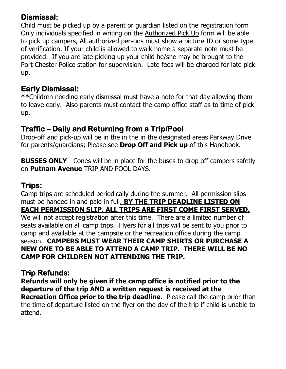## **Dismissal:**

Child must be picked up by a parent or guardian listed on the registration form Only individuals specified in writing on the Authorized Pick Up form will be able to pick up campers, All authorized persons must show a picture ID or some type of verification. If your child is allowed to walk home a separate note must be provided. If you are late picking up your child he/she may be brought to the Port Chester Police station for supervision. Late fees will be charged for late pick up.

## **Early Dismissal:**

**\*\***Children needing early dismissal must have a note for that day allowing them to leave early. Also parents must contact the camp office staff as to time of pick up.

# **Traffic – Daily and Returning from a Trip/Pool**

Drop-off and pick-up will be in the in the in the designated areas Parkway Drive for parents/guardians; Please see **Drop Off and Pick up** of this Handbook.

**BUSSES ONLY** - Cones will be in place for the buses to drop off campers safetly on **Putnam Avenue** TRIP AND POOL DAYS.

## **Trips:**

Camp trips are scheduled periodically during the summer. All permission slips must be handed in and paid in full, **BY THE TRIP DEADLINE LISTED ON EACH PERMISSION SLIP, ALL TRIPS ARE FIRST COME FIRST SERVED.** We will not accept registration after this time. There are a limited number of

seats available on all camp trips. Flyers for all trips will be sent to you prior to camp and available at the campsite or the recreation office during the camp season. **CAMPERS MUST WEAR THEIR CAMP SHIRTS OR PURCHASE A NEW ONE TO BE ABLE TO ATTEND A CAMP TRIP. THERE WILL BE NO CAMP FOR CHILDREN NOT ATTENDING THE TRIP.**

# **Trip Refunds:**

**Refunds will only be given if the camp office is notified prior to the departure of the trip AND a written request is received at the Recreation Office prior to the trip deadline.** Please call the camp prior than the time of departure listed on the flyer on the day of the trip if child is unable to attend.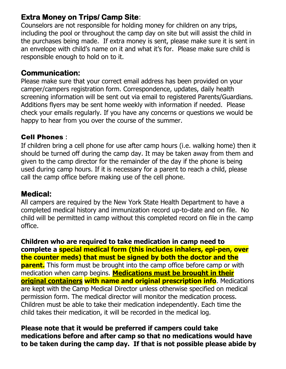## **Extra Money on Trips/ Camp Site**:

Counselors are not responsible for holding money for children on any trips, including the pool or throughout the camp day on site but will assist the child in the purchases being made. If extra money is sent, please make sure it is sent in an envelope with child's name on it and what it's for. Please make sure child is responsible enough to hold on to it.

## **Communication:**

Please make sure that your correct email address has been provided on your camper/campers registration form. Correspondence, updates, daily health screening information will be sent out via email to registered Parents/Guardians. Additions flyers may be sent home weekly with information if needed. Please check your emails regularly. If you have any concerns or questions we would be happy to hear from you over the course of the summer.

#### Cell Phones :

If children bring a cell phone for use after camp hours (i.e. walking home) then it should be turned off during the camp day. It may be taken away from them and given to the camp director for the remainder of the day if the phone is being used during camp hours. If it is necessary for a parent to reach a child, please call the camp office before making use of the cell phone.

### **Medical:**

All campers are required by the New York State Health Department to have a completed medical history and immunization record up-to-date and on file. No child will be permitted in camp without this completed record on file in the camp office.

**Children who are required to take medication in camp need to complete a special medical form (this includes inhalers, epi-pen, over the counter meds) that must be signed by both the doctor and the parent.** This form must be brought into the camp office before camp or with medication when camp begins. **Medications must be brought in their original containers with name and original prescription info**. Medications are kept with the Camp Medical Director unless otherwise specified on medical permission form. The medical director will monitor the medication process. Children must be able to take their medication independently. Each time the child takes their medication, it will be recorded in the medical log.

**Please note that it would be preferred if campers could take medications before and after camp so that no medications would have to be taken during the camp day. If that is not possible please abide by**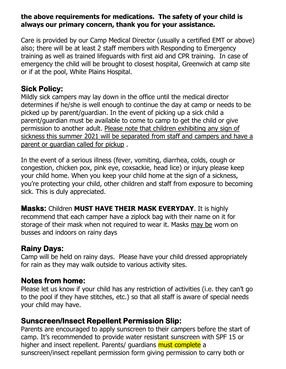#### **the above requirements for medications. The safety of your child is always our primary concern, thank you for your assistance.**

Care is provided by our Camp Medical Director (usually a certified EMT or above) also; there will be at least 2 staff members with Responding to Emergency training as well as trained lifeguards with first aid and CPR training. In case of emergency the child will be brought to closest hospital, Greenwich at camp site or if at the pool, White Plains Hospital.

## **Sick Policy:**

Mildly sick campers may lay down in the office until the medical director determines if he/she is well enough to continue the day at camp or needs to be picked up by parent/guardian. In the event of picking up a sick child a parent/guardian must be available to come to camp to get the child or give permission to another adult. Please note that children exhibiting any sign of sickness this summer 2021 will be separated from staff and campers and have a parent or guardian called for pickup .

In the event of a serious illness (fever, vomiting, diarrhea, colds, cough or congestion, chicken pox, pink eye, coxsackie, head lice) or injury please keep your child home. When you keep your child home at the sign of a sickness, you're protecting your child, other children and staff from exposure to becoming sick. This is duly appreciated.

**Masks:** Children **MUST HAVE THEIR MASK EVERYDAY**. It is highly recommend that each camper have a ziplock bag with their name on it for storage of their mask when not required to wear it. Masks may be worn on busses and indoors on rainy days

## **Rainy Days:**

Camp will be held on rainy days. Please have your child dressed appropriately for rain as they may walk outside to various activity sites.

# **Notes from home:**

Please let us know if your child has any restriction of activities (i.e. they can't go to the pool if they have stitches, etc.) so that all staff is aware of special needs your child may have.

## **Sunscreen/Insect Repellent Permission Slip:**

Parents are encouraged to apply sunscreen to their campers before the start of camp. It's recommended to provide water resistant sunscreen with SPF 15 or higher and insect repellent. Parents/ quardians must complete a sunscreen/insect repellant permission form giving permission to carry both or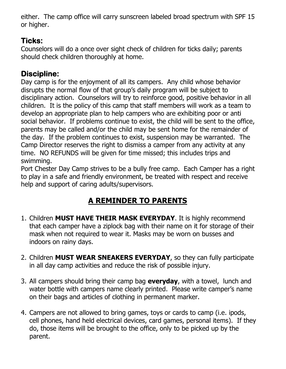either. The camp office will carry sunscreen labeled broad spectrum with SPF 15 or higher.

# **Ticks:**

Counselors will do a once over sight check of children for ticks daily; parents should check children thoroughly at home.

# **Discipline:**

Day camp is for the enjoyment of all its campers. Any child whose behavior disrupts the normal flow of that group's daily program will be subject to disciplinary action. Counselors will try to reinforce good, positive behavior in all children. It is the policy of this camp that staff members will work as a team to develop an appropriate plan to help campers who are exhibiting poor or anti social behavior. If problems continue to exist, the child will be sent to the office, parents may be called and/or the child may be sent home for the remainder of the day. If the problem continues to exist, suspension may be warranted. The Camp Director reserves the right to dismiss a camper from any activity at any time. NO REFUNDS will be given for time missed; this includes trips and swimming.

Port Chester Day Camp strives to be a bully free camp. Each Camper has a right to play in a safe and friendly environment, be treated with respect and receive help and support of caring adults/supervisors.

# **A REMINDER TO PARENTS**

- 1. Children **MUST HAVE THEIR MASK EVERYDAY**. It is highly recommend that each camper have a ziplock bag with their name on it for storage of their mask when not required to wear it. Masks may be worn on busses and indoors on rainy days.
- 2. Children **MUST WEAR SNEAKERS EVERYDAY**, so they can fully participate in all day camp activities and reduce the risk of possible injury.
- 3. All campers should bring their camp bag **everyday**, with a towel, lunch and water bottle with campers name clearly printed. Please write camper's name on their bags and articles of clothing in permanent marker.
- 4. Campers are not allowed to bring games, toys or cards to camp (i.e. ipods, cell phones, hand held electrical devices, card games, personal items). If they do, those items will be brought to the office, only to be picked up by the parent.